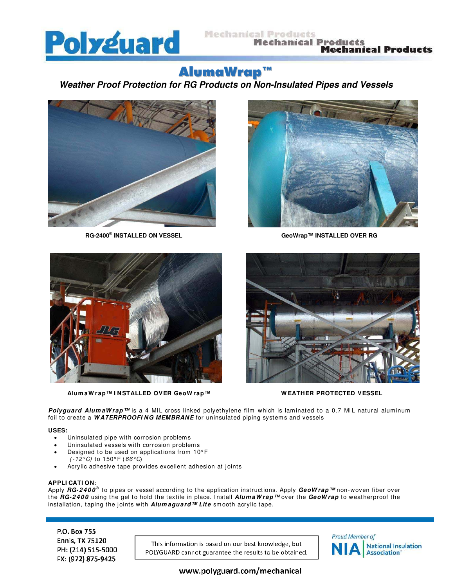

#### **Mechanical Products Mechanical Products Mechanical Products**

# AlumaWrap™

# **Weather Proof Protection for RG Products on Non-Insulated Pipes and Vessels**



**RG-2400®**



**GeoWrap™ INSTALLED OVER RG** 



 **Alum aW rap™ I NSTALLED OVER GeoW rap™ W EATHER PROTECTED VESSEL**



Polyguard AlumaWrap<sup>™</sup> is a 4 MIL cross linked polyethylene film which is laminated to a 0.7 MIL natural aluminum foil to create a **W ATERPROOFI NG MEMBRANE** for uninsulated piping systems and vessels

#### **USES:**

- Uninsulated pipe with corrosion problems
- Uninsulated vessels with corrosion problems
- Designed to be used on applications from 10° F
- ( $-12^{\circ}$ C) to 150°F ( $66^{\circ}$ C) • Acrylic adhesive tape provides excellent adhesion at joints

#### **APPLI CATI ON:**

Apply **RG-2400**® to pipes or vessel according to the application instructions. Apply **GeoWrap™** non-woven fiber over the **RG-2400** using the gel to hold the textile in place. Install *AlumaWrap™* over the GeoWrap to weatherproof the installation, taping the joints with **Alum aguard™ Lite** sm ooth acrylic tape.

P.O. Box 755 **Ennis, TX 75120** PH: (214) 515-5000 FX: (972) 875-9425

This information is based on our best knowledge, but POLYGUARD cannot guarantee the results to be obtained.



www.polyguard.com/mechanical